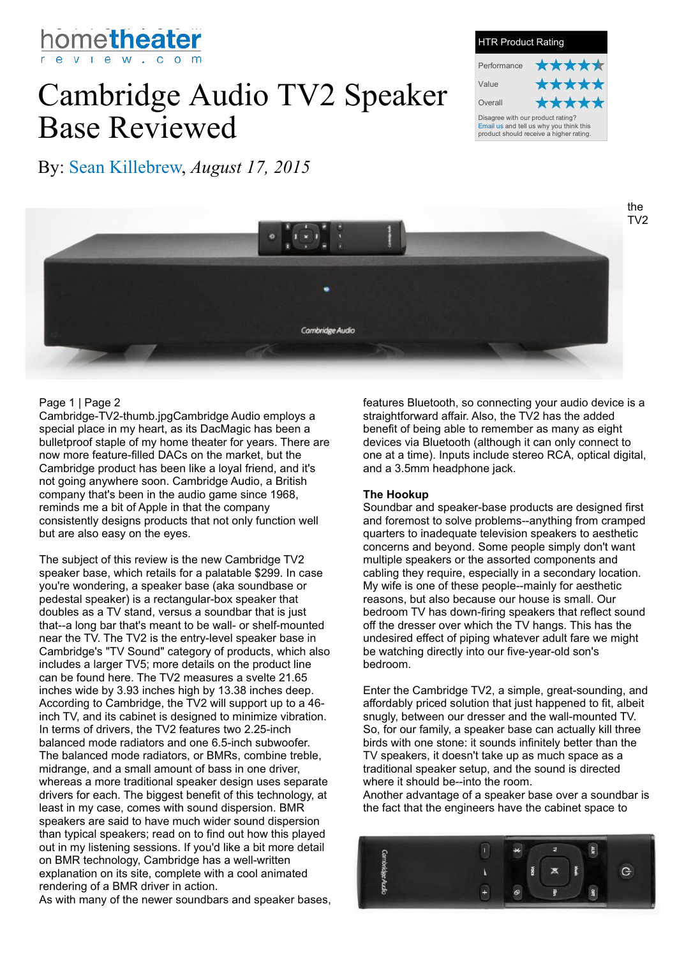

# Cambridge Audio TV2 Speaker Base Reviewed

Performance Value **Overall** HTR Product Rating Disagree with our product rating? Email us and tell us why you think this product should receive a higher rating.

By: Sean Killebrew, *August 17, 2015*



## Page 1 | Page 2

Cambridge-TV2-thumb.jpgCambridge Audio employs a special place in my heart, as its DacMagic has been a bulletproof staple of my home theater for years. There are now more feature-filled DACs on the market, but the Cambridge product has been like a loyal friend, and it's not going anywhere soon. Cambridge Audio, a British company that's been in the audio game since 1968, reminds me a bit of Apple in that the company consistently designs products that not only function well but are also easy on the eyes.

The subject of this review is the new Cambridge TV2 speaker base, which retails for a palatable \$299. In case you're wondering, a speaker base (aka soundbase or pedestal speaker) is a rectangular-box speaker that doubles as a TV stand, versus a soundbar that is just that--a long bar that's meant to be wall- or shelf-mounted near the TV. The TV2 is the entry-level speaker base in Cambridge's "TV Sound" category of products, which also includes a larger TV5; more details on the product line can be found here. The TV2 measures a svelte 21.65 inches wide by 3.93 inches high by 13.38 inches deep. According to Cambridge, the TV2 will support up to a 46 inch TV, and its cabinet is designed to minimize vibration. In terms of drivers, the TV2 features two 2.25-inch balanced mode radiators and one 6.5-inch subwoofer. The balanced mode radiators, or BMRs, combine treble, midrange, and a small amount of bass in one driver, whereas a more traditional speaker design uses separate drivers for each. The biggest benefit of this technology, at least in my case, comes with sound dispersion. BMR speakers are said to have much wider sound dispersion than typical speakers; read on to find out how this played out in my listening sessions. If you'd like a bit more detail on BMR technology, Cambridge has a well-written explanation on its site, complete with a cool animated rendering of a BMR driver in action.

As with many of the newer soundbars and speaker bases,

features Bluetooth, so connecting your audio device is a straightforward affair. Also, the TV2 has the added benefit of being able to remember as many as eight devices via Bluetooth (although it can only connect to one at a time). Inputs include stereo RCA, optical digital, and a 3.5mm headphone jack.

#### **The Hookup**

Soundbar and speaker-base products are designed first and foremost to solve problems--anything from cramped quarters to inadequate television speakers to aesthetic concerns and beyond. Some people simply don't want multiple speakers or the assorted components and cabling they require, especially in a secondary location. My wife is one of these people--mainly for aesthetic reasons, but also because our house is small. Our bedroom TV has down-firing speakers that reflect sound off the dresser over which the TV hangs. This has the undesired effect of piping whatever adult fare we might be watching directly into our five-year-old son's bedroom.

Enter the Cambridge TV2, a simple, great-sounding, and affordably priced solution that just happened to fit, albeit snugly, between our dresser and the wall-mounted TV. So, for our family, a speaker base can actually kill three birds with one stone: it sounds infinitely better than the TV speakers, it doesn't take up as much space as a traditional speaker setup, and the sound is directed where it should be--into the room.

Another advantage of a speaker base over a soundbar is the fact that the engineers have the cabinet space to



the TV2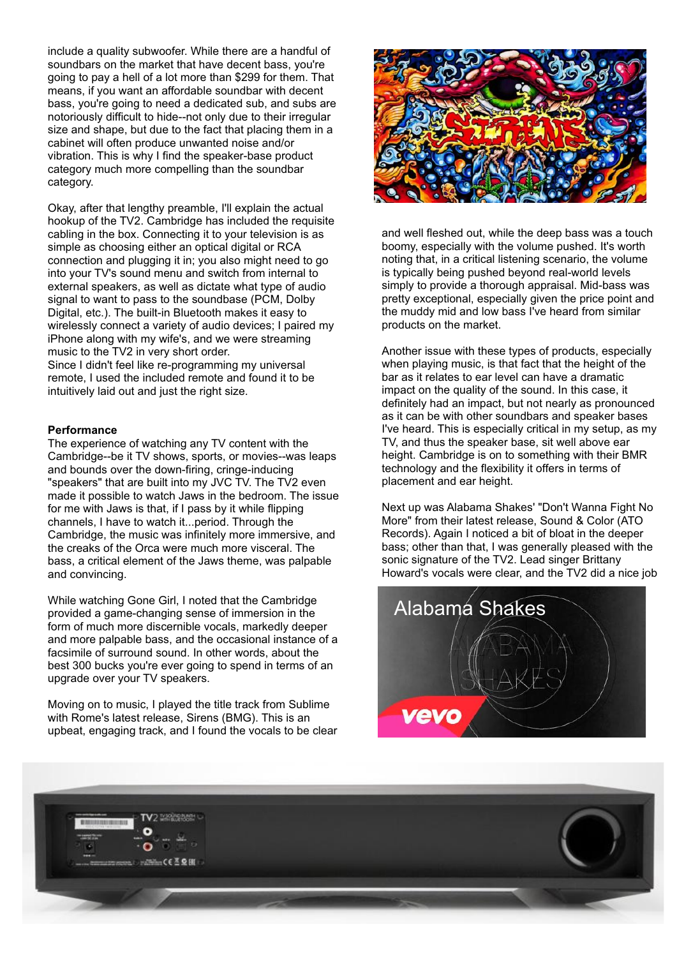include a quality subwoofer. While there are a handful of soundbars on the market that have decent bass, you're going to pay a hell of a lot more than \$299 for them. That means, if you want an affordable soundbar with decent bass, you're going to need a dedicated sub, and subs are notoriously difficult to hide--not only due to their irregular size and shape, but due to the fact that placing them in a cabinet will often produce unwanted noise and/or vibration. This is why I find the speaker-base product category much more compelling than the soundbar category.

Okay, after that lengthy preamble, I'll explain the actual hookup of the TV2. Cambridge has included the requisite cabling in the box. Connecting it to your television is as simple as choosing either an optical digital or RCA connection and plugging it in; you also might need to go into your TV's sound menu and switch from internal to external speakers, as well as dictate what type of audio signal to want to pass to the soundbase (PCM, Dolby Digital, etc.). The built-in Bluetooth makes it easy to wirelessly connect a variety of audio devices; I paired my iPhone along with my wife's, and we were streaming music to the TV2 in very short order. Since I didn't feel like re-programming my universal remote, I used the included remote and found it to be intuitively laid out and just the right size.

#### **Performance**

The experience of watching any TV content with the Cambridge--be it TV shows, sports, or movies--was leaps and bounds over the down-firing, cringe-inducing "speakers" that are built into my JVC TV. The TV2 even made it possible to watch Jaws in the bedroom. The issue for me with Jaws is that, if I pass by it while flipping channels, I have to watch it...period. Through the Cambridge, the music was infinitely more immersive, and the creaks of the Orca were much more visceral. The bass, a critical element of the Jaws theme, was palpable and convincing.

While watching Gone Girl, I noted that the Cambridge provided a game-changing sense of immersion in the form of much more discernible vocals, markedly deeper and more palpable bass, and the occasional instance of a facsimile of surround sound. In other words, about the best 300 bucks you're ever going to spend in terms of an upgrade over your TV speakers.

Moving on to music, I played the title track from Sublime with Rome's latest release, Sirens (BMG). This is an upbeat, engaging track, and I found the vocals to be clear



and well fleshed out, while the deep bass was a touch boomy, especially with the volume pushed. It's worth noting that, in a critical listening scenario, the volume is typically being pushed beyond real-world levels simply to provide a thorough appraisal. Mid-bass was pretty exceptional, especially given the price point and the muddy mid and low bass I've heard from similar products on the market.

Another issue with these types of products, especially when playing music, is that fact that the height of the bar as it relates to ear level can have a dramatic impact on the quality of the sound. In this case, it definitely had an impact, but not nearly as pronounced as it can be with other soundbars and speaker bases I've heard. This is especially critical in my setup, as my TV, and thus the speaker base, sit well above ear height. Cambridge is on to something with their BMR technology and the flexibility it offers in terms of placement and ear height.

Next up was Alabama Shakes' "Don't Wanna Fight No More" from their latest release, Sound & Color (ATO Records). Again I noticed a bit of bloat in the deeper bass; other than that, I was generally pleased with the sonic signature of the TV2. Lead singer Brittany Howard's vocals were clear, and the TV2 did a nice job



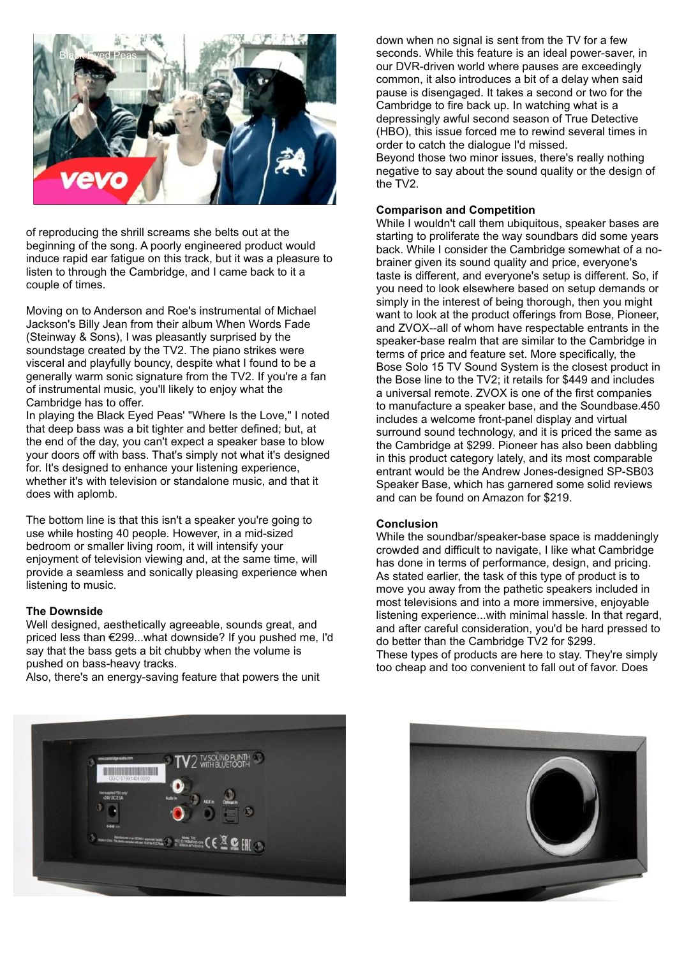

of reproducing the shrill screams she belts out at the beginning of the song. A poorly engineered product would induce rapid ear fatigue on this track, but it was a pleasure to listen to through the Cambridge, and I came back to it a couple of times.

Moving on to Anderson and Roe's instrumental of Michael Jackson's Billy Jean from their album When Words Fade (Steinway & Sons), I was pleasantly surprised by the soundstage created by the TV2. The piano strikes were visceral and playfully bouncy, despite what I found to be a generally warm sonic signature from the TV2. If you're a fan of instrumental music, you'll likely to enjoy what the Cambridge has to offer.

In playing the Black Eyed Peas' "Where Is the Love," I noted that deep bass was a bit tighter and better defined; but, at the end of the day, you can't expect a speaker base to blow your doors off with bass. That's simply not what it's designed for. It's designed to enhance your listening experience, whether it's with television or standalone music, and that it does with aplomb.

The bottom line is that this isn't a speaker you're going to use while hosting 40 people. However, in a mid-sized bedroom or smaller living room, it will intensify your enjoyment of television viewing and, at the same time, will provide a seamless and sonically pleasing experience when listening to music.

#### **The Downside**

Well designed, aesthetically agreeable, sounds great, and priced less than €299...what downside? If you pushed me, I'd say that the bass gets a bit chubby when the volume is pushed on bass-heavy tracks.

Also, there's an energy-saving feature that powers the unit



down when no signal is sent from the TV for a few seconds. While this feature is an ideal power-saver, in our DVR-driven world where pauses are exceedingly common, it also introduces a bit of a delay when said pause is disengaged. It takes a second or two for the Cambridge to fire back up. In watching what is a depressingly awful second season of True Detective (HBO), this issue forced me to rewind several times in order to catch the dialogue I'd missed. Beyond those two minor issues, there's really nothing negative to say about the sound quality or the design of the TV2.

### **Comparison and Competition**

While I wouldn't call them ubiquitous, speaker bases are starting to proliferate the way soundbars did some years back. While I consider the Cambridge somewhat of a nobrainer given its sound quality and price, everyone's taste is different, and everyone's setup is different. So, if you need to look elsewhere based on setup demands or simply in the interest of being thorough, then you might want to look at the product offerings from Bose, Pioneer, and ZVOX--all of whom have respectable entrants in the speaker-base realm that are similar to the Cambridge in terms of price and feature set. More specifically, the Bose Solo 15 TV Sound System is the closest product in the Bose line to the TV2; it retails for \$449 and includes a universal remote. ZVOX is one of the first companies to manufacture a speaker base, and the Soundbase.450 includes a welcome front-panel display and virtual surround sound technology, and it is priced the same as the Cambridge at \$299. Pioneer has also been dabbling in this product category lately, and its most comparable entrant would be the Andrew Jones-designed SP-SB03 Speaker Base, which has garnered some solid reviews and can be found on Amazon for \$219.

#### **Conclusion**

While the soundbar/speaker-base space is maddeningly crowded and difficult to navigate, I like what Cambridge has done in terms of performance, design, and pricing. As stated earlier, the task of this type of product is to move you away from the pathetic speakers included in most televisions and into a more immersive, enjoyable listening experience...with minimal hassle. In that regard, and after careful consideration, you'd be hard pressed to do better than the Cambridge TV2 for \$299. These types of products are here to stay. They're simply

too cheap and too convenient to fall out of favor. Does